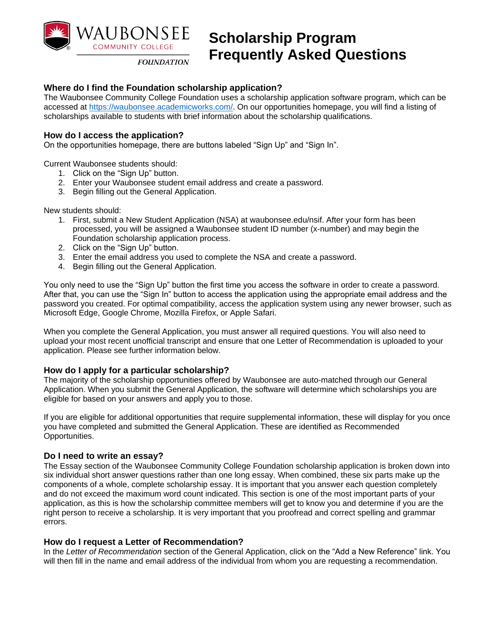

# **Scholarship Program Frequently Asked Questions**

**FOUNDATION** 

## **Where do I find the Foundation scholarship application?**

The Waubonsee Community College Foundation uses a scholarship application software program, which can be accessed at [https://waubonsee.academicworks.com/.](https://waubonsee.academicworks.com/) On our opportunities homepage, you will find a listing of scholarships available to students with brief information about the scholarship qualifications.

## **How do I access the application?**

On the opportunities homepage, there are buttons labeled "Sign Up" and "Sign In".

Current Waubonsee students should:

- 1. Click on the "Sign Up" button.
- 2. Enter your Waubonsee student email address and create a password.
- 3. Begin filling out the General Application.

New students should:

- 1. First, submit a New Student Application (NSA) at waubonsee.edu/nsif. After your form has been processed, you will be assigned a Waubonsee student ID number (x-number) and may begin the Foundation scholarship application process.
- 2. Click on the "Sign Up" button.
- 3. Enter the email address you used to complete the NSA and create a password.
- 4. Begin filling out the General Application.

You only need to use the "Sign Up" button the first time you access the software in order to create a password. After that, you can use the "Sign In" button to access the application using the appropriate email address and the password you created. For optimal compatibility, access the application system using any newer browser, such as Microsoft Edge, Google Chrome, Mozilla Firefox, or Apple Safari.

When you complete the General Application, you must answer all required questions. You will also need to upload your most recent unofficial transcript and ensure that one Letter of Recommendation is uploaded to your application. Please see further information below.

#### **How do I apply for a particular scholarship?**

The majority of the scholarship opportunities offered by Waubonsee are auto-matched through our General Application. When you submit the General Application, the software will determine which scholarships you are eligible for based on your answers and apply you to those.

If you are eligible for additional opportunities that require supplemental information, these will display for you once you have completed and submitted the General Application. These are identified as Recommended Opportunities.

#### **Do I need to write an essay?**

The Essay section of the Waubonsee Community College Foundation scholarship application is broken down into six individual short answer questions rather than one long essay. When combined, these six parts make up the components of a whole, complete scholarship essay. It is important that you answer each question completely and do not exceed the maximum word count indicated. This section is one of the most important parts of your application, as this is how the scholarship committee members will get to know you and determine if you are the right person to receive a scholarship. It is very important that you proofread and correct spelling and grammar errors.

#### **How do I request a Letter of Recommendation?**

In the *Letter of Recommendation* section of the General Application, click on the "Add a New Reference" link. You will then fill in the name and email address of the individual from whom you are requesting a recommendation.